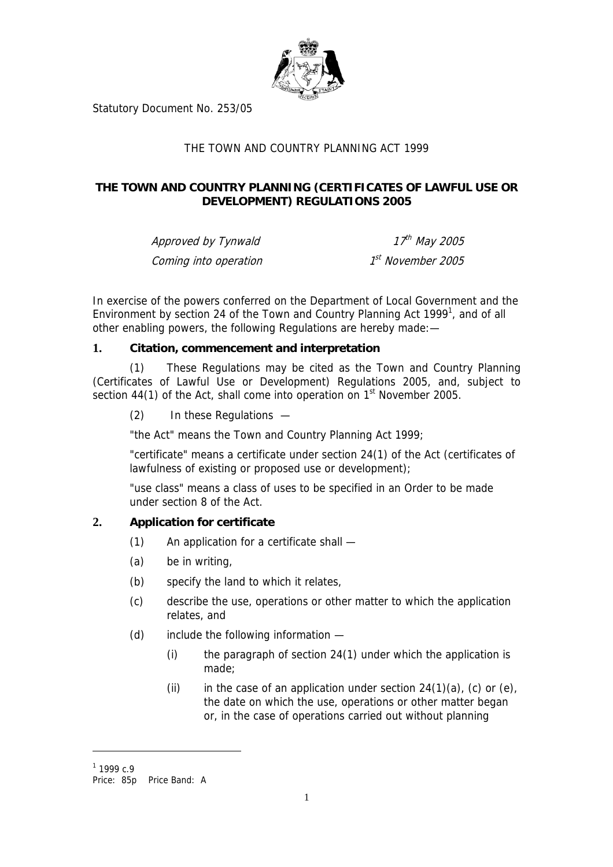

Statutory Document No. 253/05

## THE TOWN AND COUNTRY PLANNING ACT 1999

## **THE TOWN AND COUNTRY PLANNING (CERTIFICATES OF LAWFUL USE OR DEVELOPMENT) REGULATIONS 2005**

Approved by Tynwald Coming into operation

 $17^{th}$  May 2005  $1<sup>st</sup>$  November 2005

In exercise of the powers conferred on the Department of Local Government and the Environment by section 24 of the Town and Country Planning Act 1999<sup>1</sup>, and of all other enabling powers, the following Regulations are hereby made:—

## **1. Citation, commencement and interpretation**

(1) These Regulations may be cited as the Town and Country Planning (Certificates of Lawful Use or Development) Regulations 2005, and, subject to section  $44(1)$  of the Act, shall come into operation on  $1<sup>st</sup>$  November 2005.

(2) In these Regulations —

"the Act" means the Town and Country Planning Act 1999;

"certificate" means a certificate under section 24(1) of the Act (certificates of lawfulness of existing or proposed use or development);

"use class" means a class of uses to be specified in an Order to be made under section 8 of the Act.

## **2. Application for certificate**

- <span id="page-0-1"></span>(1) An application for a certificate shall —
- (a) be in writing,
- (b) specify the land to which it relates,
- (c) describe the use, operations or other matter to which the application relates, and
- (d) include the following information
	- (i) the paragraph of section 24(1) under which the application is made;
	- (ii) in the case of an application under section  $24(1)(a)$ , (c) or (e), the date on which the use, operations or other matter began or, in the case of operations carried out without planning

 $\overline{a}$ 

<span id="page-0-0"></span> $1$  1999 c.9

Price: 85p Price Band: A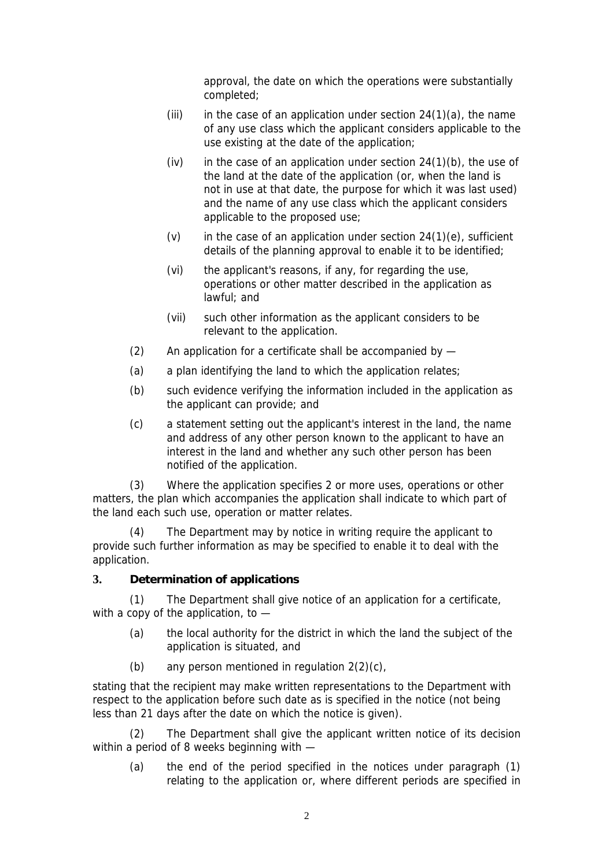approval, the date on which the operations were substantially completed;

- (iii) in the case of an application under section  $24(1)(a)$ , the name of any use class which the applicant considers applicable to the use existing at the date of the application;
- (iv) in the case of an application under section  $24(1)(b)$ , the use of the land at the date of the application (or, when the land is not in use at that date, the purpose for which it was last used) and the name of any use class which the applicant considers applicable to the proposed use;
- (v) in the case of an application under section  $24(1)(e)$ , sufficient details of the planning approval to enable it to be identified;
- (vi) the applicant's reasons, if any, for regarding the use, operations or other matter described in the application as lawful; and
- (vii) such other information as the applicant considers to be relevant to the application.
- (2) An application for a certificate shall be accompanied by —
- (a) a plan identifying the land to which the application relates;
- (b) such evidence verifying the information included in the application as the applicant can provide; and
- (c) a statement setting out the applicant's interest in the land, the name and address of any other person known to the applicant to have an interest in the land and whether any such other person has been notified of the application.

(3) Where the application specifies 2 or more uses, operations or other matters, the plan which accompanies the application shall indicate to which part of the land each such use, operation or matter relates.

(4) The Department may by notice in writing require the applicant to provide such further information as may be specified to enable it to deal with the application.

## **3. Determination of applications**

(1) The Department shall give notice of an application for a certificate, with a copy of the application, to -

- (a) the local authority for the district in which the land the subject of the application is situated, and
- (b) any person mentioned in regulation [2\(](#page-0-1)2)(c),

stating that the recipient may make written representations to the Department with respect to the application before such date as is specified in the notice (not being less than 21 days after the date on which the notice is given).

(2) The Department shall give the applicant written notice of its decision within a period of 8 weeks beginning with —

(a) the end of the period specified in the notices under paragraph (1) relating to the application or, where different periods are specified in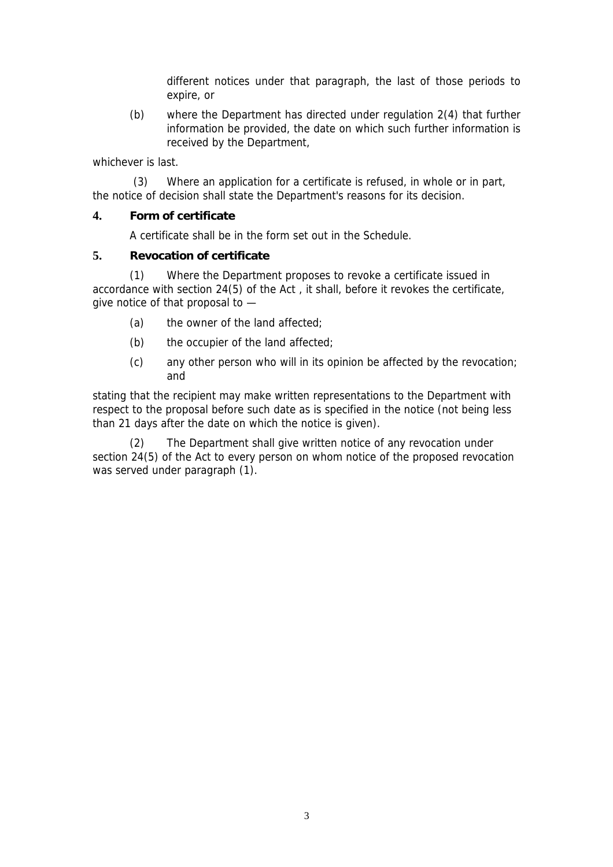different notices under that paragraph, the last of those periods to expire, or

(b) where the Department has directed under regulation [2\(](#page-0-1)4) that further information be provided, the date on which such further information is received by the Department,

whichever is last.

 (3) Where an application for a certificate is refused, in whole or in part, the notice of decision shall state the Department's reasons for its decision.

### **4. Form of certificate**

<span id="page-2-0"></span>A certificate shall be in the form set out in the Schedule.

#### **5. Revocation of certificate**

(1) Where the Department proposes to revoke a certificate issued in accordance with section 24(5) of the Act , it shall, before it revokes the certificate, give notice of that proposal to —

- (a) the owner of the land affected;
- (b) the occupier of the land affected;
- (c) any other person who will in its opinion be affected by the revocation; and

stating that the recipient may make written representations to the Department with respect to the proposal before such date as is specified in the notice (not being less than 21 days after the date on which the notice is given).

(2) The Department shall give written notice of any revocation under section 24(5) of the Act to every person on whom notice of the proposed revocation was served under paragraph (1).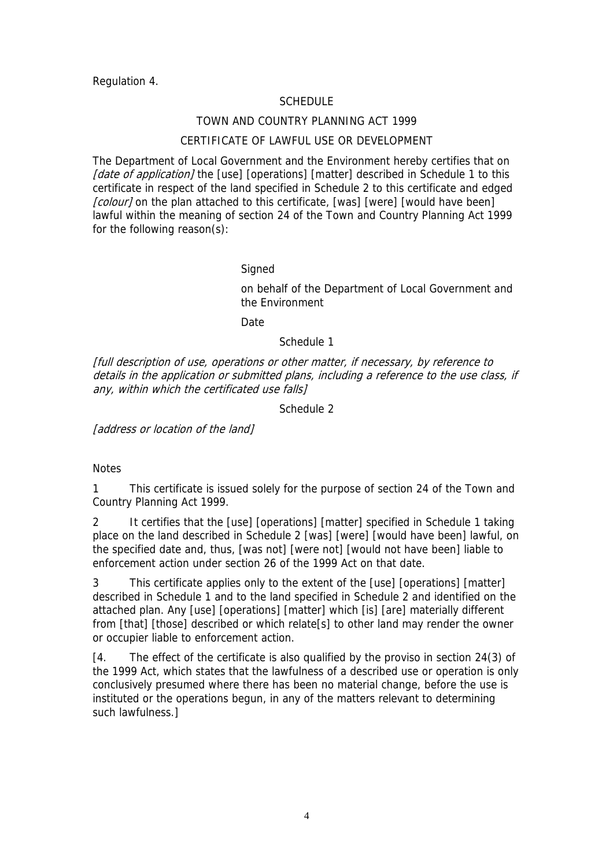Regulation [4.](#page-2-0)

### SCHEDULE

#### TOWN AND COUNTRY PLANNING ACT 1999

## CERTIFICATE OF LAWFUL USE OR DEVELOPMENT

The Department of Local Government and the Environment hereby certifies that on [date of application] the [use] [operations] [matter] described in Schedule 1 to this certificate in respect of the land specified in Schedule 2 to this certificate and edged [colour] on the plan attached to this certificate, [was] [were] [would have been] lawful within the meaning of section 24 of the Town and Country Planning Act 1999 for the following reason(s):

#### **Signed**

on behalf of the Department of Local Government and the Environment

**Date** 

Schedule 1

[full description of use, operations or other matter, if necessary, by reference to details in the application or submitted plans, including a reference to the use class, if any, within which the certificated use falls]

Schedule 2

[address or location of the land]

#### **Notes**

1 This certificate is issued solely for the purpose of section 24 of the Town and Country Planning Act 1999.

2 It certifies that the [use] [operations] [matter] specified in Schedule 1 taking place on the land described in Schedule 2 [was] [were] [would have been] lawful, on the specified date and, thus, [was not] [were not] [would not have been] liable to enforcement action under section 26 of the 1999 Act on that date.

3 This certificate applies only to the extent of the [use] [operations] [matter] described in Schedule 1 and to the land specified in Schedule 2 and identified on the attached plan. Any [use] [operations] [matter] which [is] [are] materially different from [that] [those] described or which relate[s] to other land may render the owner or occupier liable to enforcement action.

[4. The effect of the certificate is also qualified by the proviso in section 24(3) of the 1999 Act, which states that the lawfulness of a described use or operation is only conclusively presumed where there has been no material change, before the use is instituted or the operations begun, in any of the matters relevant to determining such lawfulness.]